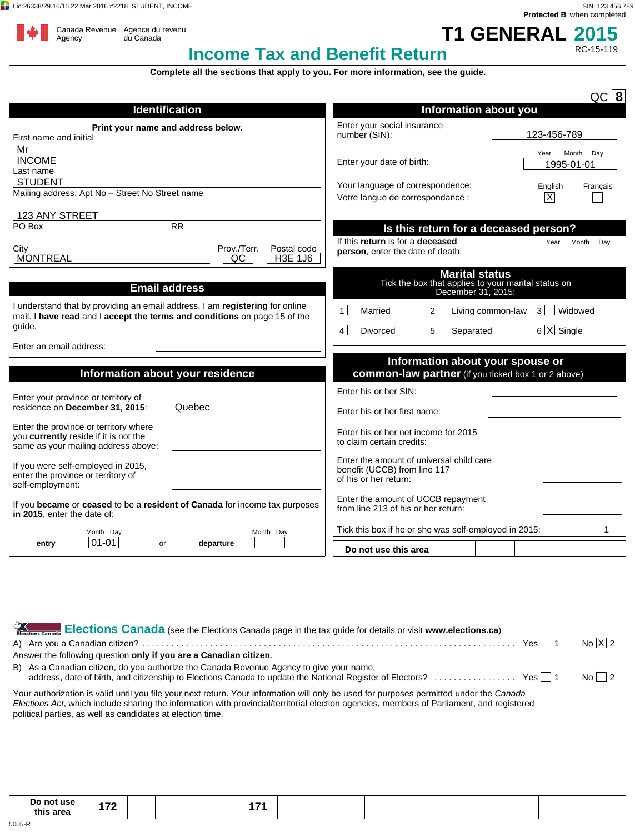**Lic:26338/29.16/15 22 Mar 2016 #2218 STUDENT, INCOME** SIN: 123 456 789



RC-15-119

| Canada Revenue | Ag |
|----------------|----|
| Agency         | du |
|                |    |

gence du revenu<br>ı Canada

**T1 GENERAL 2015 Income Tax and Benefit Return**

**Complete all the sections that apply to you. For more information, see the guide.**

|                                                                                                                                                                     | $QC$ 8                                                                                                                                |
|---------------------------------------------------------------------------------------------------------------------------------------------------------------------|---------------------------------------------------------------------------------------------------------------------------------------|
| <b>Identification</b>                                                                                                                                               | <b>Information about you</b>                                                                                                          |
| Print your name and address below.<br>First name and initial                                                                                                        | Enter your social insurance<br>123-456-789<br>number (SIN):                                                                           |
| Mr<br><b>INCOME</b><br>Last name                                                                                                                                    | Month<br>Day<br>Year<br>Enter your date of birth:<br>1995-01-01                                                                       |
| <b>STUDENT</b><br>Mailing address: Apt No - Street No Street name                                                                                                   | Your language of correspondence:<br>English<br>Francais<br>$\overline{\mathsf{x}}$<br>Votre langue de correspondance :                |
| 123 ANY STREET                                                                                                                                                      |                                                                                                                                       |
| <b>RR</b><br>PO Box<br>Prov./Terr.<br>Postal code<br>City                                                                                                           | Is this return for a deceased person?<br>If this return is for a deceased<br>Year<br>Month<br>Day<br>person, enter the date of death: |
| <b>MONTREAL</b><br><b>H3E 1J6</b><br>QC                                                                                                                             |                                                                                                                                       |
| <b>Email address</b>                                                                                                                                                | <b>Marital status</b><br>Tick the box that applies to your marital status on<br>December 31, 2015:                                    |
| I understand that by providing an email address, I am registering for online<br>mail. I have read and I accept the terms and conditions on page 15 of the<br>guide. | 1   Married<br>Living common-law<br>Widowed<br>$3 \mid$<br>$6 \overline{X}$ Single<br>$5 \Box$ Separated<br>4 Divorced                |
| Enter an email address:                                                                                                                                             |                                                                                                                                       |
|                                                                                                                                                                     | Information about your spouse or                                                                                                      |
| Information about your residence                                                                                                                                    | <b>common-law partner</b> (if you ticked box 1 or 2 above)                                                                            |
| Enter your province or territory of<br>residence on December 31, 2015:<br>Quebec                                                                                    | Enter his or her SIN:<br>Enter his or her first name:                                                                                 |
| Enter the province or territory where<br>you currently reside if it is not the<br>same as your mailing address above:                                               | Enter his or her net income for 2015<br>to claim certain credits:                                                                     |
| If you were self-employed in 2015,<br>enter the province or territory of<br>self-employment:                                                                        | Enter the amount of universal child care<br>benefit (UCCB) from line 117<br>of his or her return:                                     |
| If you became or ceased to be a resident of Canada for income tax purposes<br>in 2015, enter the date of:                                                           | Enter the amount of UCCB repayment<br>from line 213 of his or her return:                                                             |
| Month Day<br>Month Day                                                                                                                                              | Tick this box if he or she was self-employed in 2015:<br>1.                                                                           |
| $ 01 - 01 $<br>departure<br>entry<br>or                                                                                                                             | Do not use this area                                                                                                                  |
|                                                                                                                                                                     |                                                                                                                                       |

| Elections Canada (see the Elections Canada page in the tax guide for details or visit www.elections.ca)                                                                                                                                                                                                                                            |                      |
|----------------------------------------------------------------------------------------------------------------------------------------------------------------------------------------------------------------------------------------------------------------------------------------------------------------------------------------------------|----------------------|
|                                                                                                                                                                                                                                                                                                                                                    | No $\overline{X}$ 2  |
| Answer the following question only if you are a Canadian citizen.                                                                                                                                                                                                                                                                                  |                      |
| B) As a Canadian citizen, do you authorize the Canada Revenue Agency to give your name,                                                                                                                                                                                                                                                            | $\overline{N_0}$   2 |
| Your authorization is valid until you file your next return. Your information will only be used for purposes permitted under the Canada<br>Elections Act, which include sharing the information with provincial/territorial election agencies, members of Parliament, and registered<br>political parties, as well as candidates at election time. |                      |
|                                                                                                                                                                                                                                                                                                                                                    |                      |

| Do not use | $\rightarrow$ |  |  | . . |  |  |
|------------|---------------|--|--|-----|--|--|
| this area  |               |  |  |     |  |  |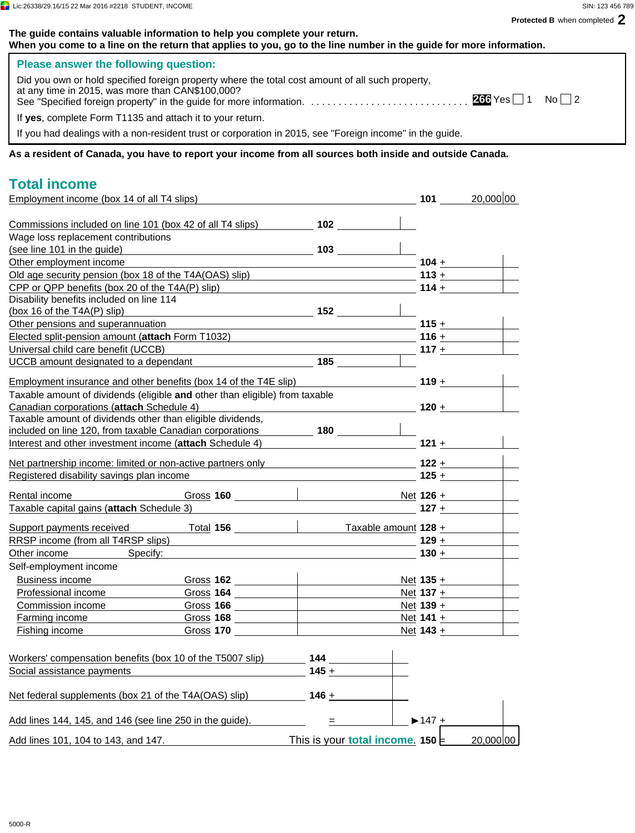| The guide contains valuable information to help you complete your return.<br>When you come to a line on the return that applies to you, go to the line number in the guide for more information. |                                                                                                                                                                                                                                                                                                  |                             |                                  |
|--------------------------------------------------------------------------------------------------------------------------------------------------------------------------------------------------|--------------------------------------------------------------------------------------------------------------------------------------------------------------------------------------------------------------------------------------------------------------------------------------------------|-----------------------------|----------------------------------|
| Please answer the following question:                                                                                                                                                            |                                                                                                                                                                                                                                                                                                  |                             |                                  |
| Did you own or hold specified foreign property where the total cost amount of all such property,<br>at any time in 2015, was more than CAN\$100,000?                                             |                                                                                                                                                                                                                                                                                                  |                             |                                  |
| If yes, complete Form T1135 and attach it to your return.                                                                                                                                        |                                                                                                                                                                                                                                                                                                  |                             |                                  |
| If you had dealings with a non-resident trust or corporation in 2015, see "Foreign income" in the guide.                                                                                         |                                                                                                                                                                                                                                                                                                  |                             |                                  |
| As a resident of Canada, you have to report your income from all sources both inside and outside Canada.                                                                                         |                                                                                                                                                                                                                                                                                                  |                             |                                  |
| <b>Total income</b>                                                                                                                                                                              |                                                                                                                                                                                                                                                                                                  |                             |                                  |
| Employment income (box 14 of all T4 slips)<br>101 20,000 00                                                                                                                                      |                                                                                                                                                                                                                                                                                                  |                             |                                  |
|                                                                                                                                                                                                  |                                                                                                                                                                                                                                                                                                  |                             |                                  |
| Commissions included on line 101 (box 42 of all T4 slips) 102                                                                                                                                    |                                                                                                                                                                                                                                                                                                  |                             |                                  |
| Wage loss replacement contributions                                                                                                                                                              |                                                                                                                                                                                                                                                                                                  |                             |                                  |
| (see line 101 in the guide)                                                                                                                                                                      |                                                                                                                                                                                                                                                                                                  |                             |                                  |
| Other employment income                                                                                                                                                                          | <u> 1989 - Johann Barn, fransk politik (</u>                                                                                                                                                                                                                                                     |                             | $104 + \underline{\hspace{1cm}}$ |
| Old age security pension (box 18 of the T4A(OAS) slip) example a security pension (box 18 of the T4A(OAS) slip                                                                                   |                                                                                                                                                                                                                                                                                                  |                             | 113 + $\frac{1}{2}$              |
| CPP or QPP benefits (box 20 of the T4A(P) slip)                                                                                                                                                  |                                                                                                                                                                                                                                                                                                  |                             | $114 +$                          |
| Disability benefits included on line 114<br>$\overbrace{ }$ 152<br>(box 16 of the T4A(P) slip)                                                                                                   |                                                                                                                                                                                                                                                                                                  |                             |                                  |
| Other pensions and superannuation                                                                                                                                                                |                                                                                                                                                                                                                                                                                                  |                             |                                  |
| Elected split-pension amount (attach Form T1032) 1991 1992 116 + 116 + 126 127 128 128 129 129 129 129 129 12                                                                                    |                                                                                                                                                                                                                                                                                                  |                             |                                  |
| Universal child care benefit (UCCB)                                                                                                                                                              |                                                                                                                                                                                                                                                                                                  |                             |                                  |
| UCCB amount designated to a dependant 185                                                                                                                                                        |                                                                                                                                                                                                                                                                                                  |                             |                                  |
|                                                                                                                                                                                                  |                                                                                                                                                                                                                                                                                                  |                             |                                  |
| <u>Employment insurance and other benefits (box 14 of the T4E slip)</u> $\overline{\phantom{a}}$ 119 $\overline{\phantom{a}}$                                                                    |                                                                                                                                                                                                                                                                                                  |                             |                                  |
| Taxable amount of dividends (eligible and other than eligible) from taxable                                                                                                                      |                                                                                                                                                                                                                                                                                                  |                             |                                  |
| Canadian corporations (attach Schedule 4)                                                                                                                                                        | $\overline{\phantom{a}120\phantom{a}}$ $\overline{\phantom{a}120\phantom{a}}$                                                                                                                                                                                                                    |                             |                                  |
| Taxable amount of dividends other than eligible dividends,                                                                                                                                       |                                                                                                                                                                                                                                                                                                  |                             |                                  |
| included on line 120, from taxable Canadian corporations 180                                                                                                                                     |                                                                                                                                                                                                                                                                                                  |                             |                                  |
| Interest and other investment income (attach Schedule 4) 121 + 121 +                                                                                                                             |                                                                                                                                                                                                                                                                                                  |                             |                                  |
| Net partnership income: limited or non-active partners only 122 + 122 +                                                                                                                          |                                                                                                                                                                                                                                                                                                  |                             |                                  |
| Registered disability savings plan income                                                                                                                                                        | $\frac{1}{25}$ + $\frac{1}{25}$ + $\frac{1}{25}$ + $\frac{1}{25}$ + $\frac{1}{25}$ + $\frac{1}{25}$ + $\frac{1}{25}$ + $\frac{1}{25}$ + $\frac{1}{25}$ + $\frac{1}{25}$ + $\frac{1}{25}$ + $\frac{1}{25}$ + $\frac{1}{25}$ + $\frac{1}{25}$ + $\frac{1}{25}$ + $\frac{1}{25}$ + $\frac{1}{25}$ + |                             |                                  |
|                                                                                                                                                                                                  |                                                                                                                                                                                                                                                                                                  |                             |                                  |
| Rental income                                                                                                                                                                                    |                                                                                                                                                                                                                                                                                                  |                             |                                  |
| Taxable capital gains (attach Schedule 3)                                                                                                                                                        | <b>127</b> +                                                                                                                                                                                                                                                                                     |                             |                                  |
| Total 156<br>Support payments received                                                                                                                                                           | Taxable amount 128 +                                                                                                                                                                                                                                                                             |                             |                                  |
| RRSP income (from all T4RSP slips)                                                                                                                                                               |                                                                                                                                                                                                                                                                                                  | $129 +$                     |                                  |
| Specify:<br>Other income                                                                                                                                                                         |                                                                                                                                                                                                                                                                                                  | $130 +$                     |                                  |
| Self-employment income                                                                                                                                                                           |                                                                                                                                                                                                                                                                                                  |                             |                                  |
| <b>Business income</b>                                                                                                                                                                           |                                                                                                                                                                                                                                                                                                  | Net $135 +$                 |                                  |
| Professional income<br>Gross <sub>164</sub>                                                                                                                                                      |                                                                                                                                                                                                                                                                                                  | $Net 137 +$                 |                                  |
| Commission income                                                                                                                                                                                |                                                                                                                                                                                                                                                                                                  |                             | Net $139 +$                      |
| <b>Farming income</b>                                                                                                                                                                            |                                                                                                                                                                                                                                                                                                  |                             | Net $141 +$                      |
| Gross 170<br>Fishing income                                                                                                                                                                      |                                                                                                                                                                                                                                                                                                  | $Net 143 +$                 |                                  |
|                                                                                                                                                                                                  |                                                                                                                                                                                                                                                                                                  |                             |                                  |
| Workers' compensation benefits (box 10 of the T5007 slip)                                                                                                                                        | 144                                                                                                                                                                                                                                                                                              |                             |                                  |
| Social assistance payments                                                                                                                                                                       | $145 +$                                                                                                                                                                                                                                                                                          |                             |                                  |
|                                                                                                                                                                                                  |                                                                                                                                                                                                                                                                                                  |                             |                                  |
| Net federal supplements (box 21 of the T4A(OAS) slip)                                                                                                                                            | $146 +$                                                                                                                                                                                                                                                                                          |                             |                                  |
|                                                                                                                                                                                                  |                                                                                                                                                                                                                                                                                                  |                             |                                  |
| Add lines 144, 145, and 146 (see line 250 in the guide).                                                                                                                                         | $=$                                                                                                                                                                                                                                                                                              | $\blacktriangleright$ 147 + |                                  |
|                                                                                                                                                                                                  |                                                                                                                                                                                                                                                                                                  |                             |                                  |
| Add lines 101, 104 to 143, and 147.                                                                                                                                                              | This is your total income. 150                                                                                                                                                                                                                                                                   |                             | 20,000 00                        |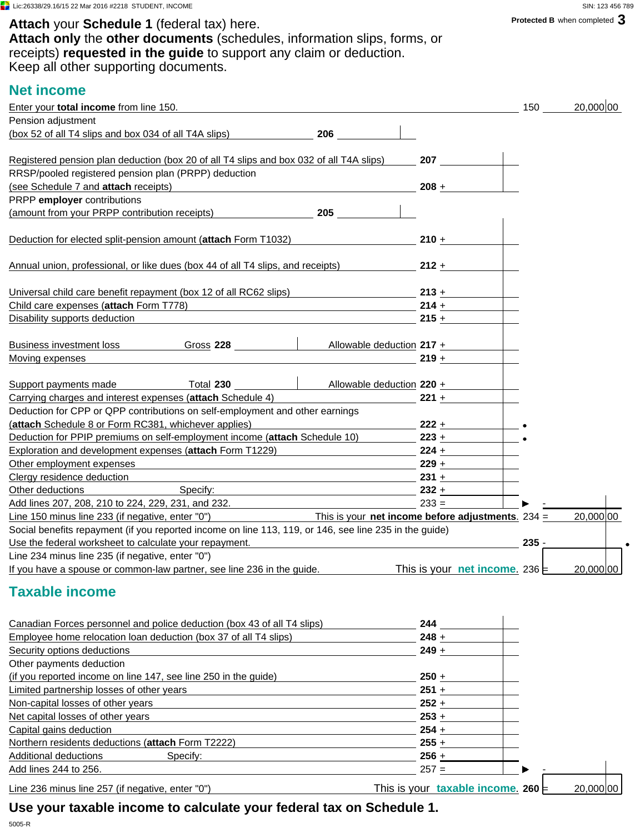Attach your **Schedule 1** (federal tax) here. **Attach** your **Schedule 1** (federal tax) here. **Attach only** the **other documents** (schedules, information slips, forms, or receipts) **requested in the guide** to support any claim or deduction. Keep all other supporting documents.

# **Net income**

| Pension adjustment<br><u> 1980 - Johann Stoff, fransk politik (d. 1980)</u><br>$214 +$                                                                                                                                                                                                                                                            | $208 +$<br>$210 +$<br>$212 +$<br>$215 +$<br>$219 +$ |         |           |
|---------------------------------------------------------------------------------------------------------------------------------------------------------------------------------------------------------------------------------------------------------------------------------------------------------------------------------------------------|-----------------------------------------------------|---------|-----------|
| (box 52 of all T4 slips and box 034 of all T4A slips) 206                                                                                                                                                                                                                                                                                         |                                                     |         |           |
| Registered pension plan deduction (box 20 of all T4 slips and box 032 of all T4A slips) 207<br>RRSP/pooled registered pension plan (PRPP) deduction<br>(see Schedule 7 and attach receipts)<br>PRPP employer contributions<br>(amount from your PRPP contribution receipts) 205<br>Deduction for elected split-pension amount (attach Form T1032) |                                                     |         |           |
|                                                                                                                                                                                                                                                                                                                                                   |                                                     |         |           |
|                                                                                                                                                                                                                                                                                                                                                   |                                                     |         |           |
|                                                                                                                                                                                                                                                                                                                                                   |                                                     |         |           |
|                                                                                                                                                                                                                                                                                                                                                   |                                                     |         |           |
|                                                                                                                                                                                                                                                                                                                                                   |                                                     |         |           |
|                                                                                                                                                                                                                                                                                                                                                   |                                                     |         |           |
| Annual union, professional, or like dues (box 44 of all T4 slips, and receipts)<br>Universal child care benefit repayment (box 12 of all RC62 slips) 213 +<br>Child care expenses (attach Form T778)                                                                                                                                              |                                                     |         |           |
|                                                                                                                                                                                                                                                                                                                                                   |                                                     |         |           |
|                                                                                                                                                                                                                                                                                                                                                   |                                                     |         |           |
|                                                                                                                                                                                                                                                                                                                                                   |                                                     |         |           |
| Disability supports deduction                                                                                                                                                                                                                                                                                                                     |                                                     |         |           |
| Business investment loss Gross 228 Allowable deduction 217 +                                                                                                                                                                                                                                                                                      |                                                     |         |           |
| Moving expenses                                                                                                                                                                                                                                                                                                                                   |                                                     |         |           |
|                                                                                                                                                                                                                                                                                                                                                   |                                                     |         |           |
| Allowable deduction 220 +<br>Total 230 and the Total<br>Support payments made                                                                                                                                                                                                                                                                     |                                                     |         |           |
| Carrying charges and interest expenses (attach Schedule 4)<br>Deduction for CPP or QPP contributions on self-employment and other earnings                                                                                                                                                                                                        | $221 +$                                             |         |           |
| (attach Schedule 8 or Form RC381, whichever applies)                                                                                                                                                                                                                                                                                              | $222 +$                                             |         |           |
| Deduction for PPIP premiums on self-employment income (attach Schedule 10)                                                                                                                                                                                                                                                                        | $223 +$                                             |         |           |
| Exploration and development expenses (attach Form T1229)                                                                                                                                                                                                                                                                                          | $224 +$                                             |         |           |
| Other employment expenses<br>the control of the control of the control of the control of the control of the control of the control of the control of the control of the control of the control of the control of the control of the control of the control                                                                                        | $229 +$                                             |         |           |
| Clergy residence deduction                                                                                                                                                                                                                                                                                                                        | $231 +$                                             |         |           |
| Other deductions<br>Specify: <u>Specify:</u>                                                                                                                                                                                                                                                                                                      | $232 +$                                             |         |           |
| Add lines 207, 208, 210 to 224, 229, 231, and 232.                                                                                                                                                                                                                                                                                                | $233 =$                                             |         |           |
| $\frac{1}{2}$ This is your <b>net income before adjustments</b> . 234 =<br>Line 150 minus line 233 (if negative, enter "0")                                                                                                                                                                                                                       |                                                     |         | 20,000 00 |
| Social benefits repayment (if you reported income on line 113, 119, or 146, see line 235 in the guide)                                                                                                                                                                                                                                            |                                                     |         |           |
| Use the federal worksheet to calculate your repayment.                                                                                                                                                                                                                                                                                            |                                                     | $235 -$ |           |
| Line 234 minus line 235 (if negative, enter "0")                                                                                                                                                                                                                                                                                                  |                                                     |         |           |
| If you have a spouse or common-law partner, see line 236 in the guide. This is your net income. 236                                                                                                                                                                                                                                               |                                                     |         | 20,000 00 |
| <b>Taxable income</b>                                                                                                                                                                                                                                                                                                                             |                                                     |         |           |
| Canadian Forces personnel and police deduction (box 43 of all T4 slips)                                                                                                                                                                                                                                                                           | 244                                                 |         |           |
| Employee home relocation loan deduction (box 37 of all T4 slips)                                                                                                                                                                                                                                                                                  | $248 +$                                             |         |           |
| Security options deductions                                                                                                                                                                                                                                                                                                                       | $249 +$                                             |         |           |
| Other payments deduction                                                                                                                                                                                                                                                                                                                          |                                                     |         |           |
| (if you reported income on line 147, see line 250 in the guide)                                                                                                                                                                                                                                                                                   | $250 +$                                             |         |           |
| Limited partnership losses of other years                                                                                                                                                                                                                                                                                                         | $251 +$                                             |         |           |
| Non-capital losses of other years                                                                                                                                                                                                                                                                                                                 | $252 +$                                             |         |           |
| Net capital losses of other years                                                                                                                                                                                                                                                                                                                 | $253 +$                                             |         |           |
| Capital gains deduction                                                                                                                                                                                                                                                                                                                           | $254 +$                                             |         |           |
| Northern residents deductions (attach Form T2222)                                                                                                                                                                                                                                                                                                 | $255 +$                                             |         |           |
| Additional deductions<br>Specify:                                                                                                                                                                                                                                                                                                                 | 256 $+$                                             |         |           |
| Add lines 244 to 256.                                                                                                                                                                                                                                                                                                                             | $257 =$                                             |         |           |
| Line 236 minus line 257 (if negative, enter "0")                                                                                                                                                                                                                                                                                                  | This is your taxable income. 260 $\equiv$           |         | 20,000 00 |
| Use your taxable income to calculate your federal tax on Schedule 1.                                                                                                                                                                                                                                                                              |                                                     |         |           |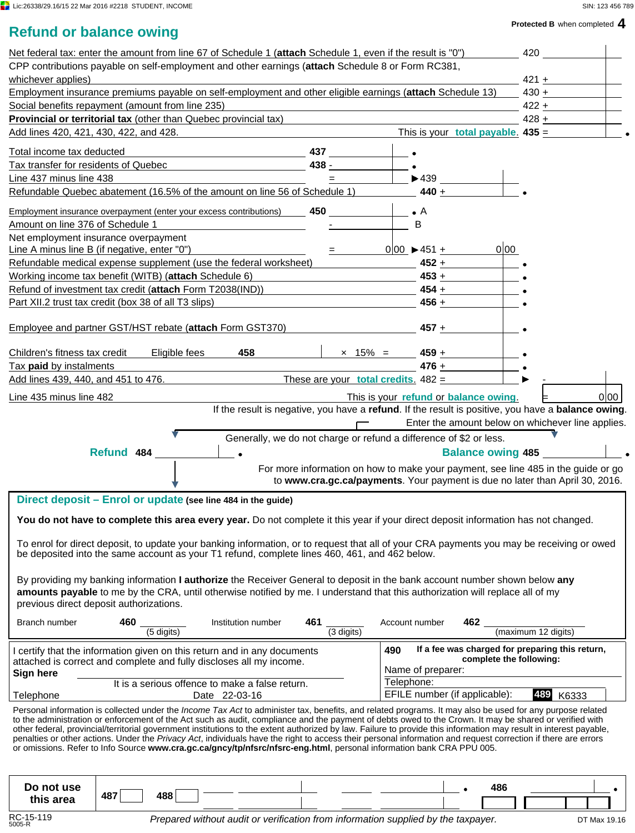$\mathbf{I}$ 

#### **Protected B** when completed **4**

|  |  | <b>Refund or balance owing</b> |  |
|--|--|--------------------------------|--|
|--|--|--------------------------------|--|

|                                                                                                                 |                                         | Net federal tax: enter the amount from line 67 of Schedule 1 (attach Schedule 1, even if the result is "0")                                                                                                                                                                                                                         |                                                                                                                       |                      |                                                   | 420                 |         |
|-----------------------------------------------------------------------------------------------------------------|-----------------------------------------|-------------------------------------------------------------------------------------------------------------------------------------------------------------------------------------------------------------------------------------------------------------------------------------------------------------------------------------|-----------------------------------------------------------------------------------------------------------------------|----------------------|---------------------------------------------------|---------------------|---------|
|                                                                                                                 |                                         | CPP contributions payable on self-employment and other earnings (attach Schedule 8 or Form RC381,                                                                                                                                                                                                                                   |                                                                                                                       |                      |                                                   |                     |         |
| whichever applies)                                                                                              |                                         |                                                                                                                                                                                                                                                                                                                                     |                                                                                                                       |                      |                                                   |                     | $421 +$ |
| Employment insurance premiums payable on self-employment and other eligible earnings (attach Schedule 13) 430 + |                                         |                                                                                                                                                                                                                                                                                                                                     |                                                                                                                       |                      |                                                   |                     |         |
| Social benefits repayment (amount from line 235)                                                                |                                         |                                                                                                                                                                                                                                                                                                                                     | <u> 1989 - Johann Harry Harry Harry Harry Harry Harry Harry Harry Harry Harry Harry Harry Harry Harry Harry Harry</u> |                      |                                                   | $422 +$             |         |
| <b>Provincial or territorial tax</b> (other than Quebec provincial tax)                                         |                                         |                                                                                                                                                                                                                                                                                                                                     |                                                                                                                       |                      |                                                   |                     | $428 +$ |
| Add lines 420, 421, 430, 422, and 428.                                                                          |                                         | <u> 1989 - Johann Barn, mars ann an t-Amhain ann an t-Amhain an t-Amhain ann an t-Amhain an t-Amhain ann an t-Amh</u>                                                                                                                                                                                                               |                                                                                                                       |                      | This is your <b>total payable.</b> $435 =$        |                     |         |
| Total income tax deducted                                                                                       |                                         |                                                                                                                                                                                                                                                                                                                                     |                                                                                                                       |                      |                                                   |                     |         |
|                                                                                                                 |                                         | <u> 1989 - Johann Barbara, martxa alemaniar amerikan a</u><br>Tax transfer for residents of Quebec                                                                                                                                                                                                                                  | $438 -$                                                                                                               |                      |                                                   |                     |         |
| Line 437 minus line 438                                                                                         |                                         |                                                                                                                                                                                                                                                                                                                                     | $\blacksquare$ . The set of $\blacksquare$                                                                            |                      | $\blacktriangleright$ 439                         |                     |         |
|                                                                                                                 |                                         | Refundable Quebec abatement (16.5% of the amount on line 56 of Schedule 1) 440 +                                                                                                                                                                                                                                                    |                                                                                                                       |                      |                                                   |                     |         |
|                                                                                                                 |                                         |                                                                                                                                                                                                                                                                                                                                     |                                                                                                                       |                      |                                                   |                     |         |
|                                                                                                                 |                                         | Employment insurance overpayment (enter your excess contributions) 450                                                                                                                                                                                                                                                              |                                                                                                                       |                      |                                                   |                     |         |
| Amount on line 376 of Schedule 1                                                                                |                                         | the control of the control of the control of                                                                                                                                                                                                                                                                                        |                                                                                                                       | B                    |                                                   |                     |         |
| Net employment insurance overpayment                                                                            |                                         |                                                                                                                                                                                                                                                                                                                                     |                                                                                                                       |                      |                                                   |                     |         |
| Line A minus line B (if negative, enter "0")                                                                    |                                         |                                                                                                                                                                                                                                                                                                                                     |                                                                                                                       | $0 00 \rangle 451 +$ | 0 00                                              |                     |         |
|                                                                                                                 |                                         | Refundable medical expense supplement (use the federal worksheet) 452 + 452 +                                                                                                                                                                                                                                                       |                                                                                                                       |                      |                                                   |                     |         |
|                                                                                                                 |                                         | Working income tax benefit (WITB) (attach Schedule 6) $\overline{a}$ 453 + $\overline{a}$                                                                                                                                                                                                                                           |                                                                                                                       |                      |                                                   |                     |         |
|                                                                                                                 |                                         | Refund of investment tax credit (attach Form T2038(IND)) 454 + 454 +                                                                                                                                                                                                                                                                |                                                                                                                       |                      |                                                   |                     |         |
| Part XII.2 trust tax credit (box 38 of all T3 slips)                                                            |                                         |                                                                                                                                                                                                                                                                                                                                     |                                                                                                                       |                      | $456 +$                                           |                     |         |
|                                                                                                                 |                                         |                                                                                                                                                                                                                                                                                                                                     |                                                                                                                       |                      |                                                   |                     |         |
|                                                                                                                 |                                         | Employee and partner GST/HST rebate (attach Form GST370)                                                                                                                                                                                                                                                                            |                                                                                                                       | $457 +$              |                                                   |                     |         |
|                                                                                                                 |                                         |                                                                                                                                                                                                                                                                                                                                     |                                                                                                                       |                      |                                                   |                     |         |
| Children's fitness tax credit                                                                                   |                                         | 458<br>Eligible fees                                                                                                                                                                                                                                                                                                                |                                                                                                                       | $\times$ 15% = 459 + |                                                   |                     |         |
| Tax paid by instalments                                                                                         |                                         | the control of the control of the control of the control of the control of                                                                                                                                                                                                                                                          |                                                                                                                       | $476 +$              |                                                   |                     |         |
|                                                                                                                 |                                         | Add lines 439, 440, and 451 to 476.                                                                                                                                                                                                                                                                                                 | These are your total credits. $482 =$                                                                                 |                      |                                                   |                     |         |
| Line 435 minus line 482                                                                                         |                                         |                                                                                                                                                                                                                                                                                                                                     |                                                                                                                       |                      | This is your refund or balance owing.             |                     | 0 00    |
|                                                                                                                 |                                         | If the result is negative, you have a refund. If the result is positive, you have a balance owing.                                                                                                                                                                                                                                  |                                                                                                                       |                      |                                                   |                     |         |
|                                                                                                                 |                                         |                                                                                                                                                                                                                                                                                                                                     |                                                                                                                       |                      | Enter the amount below on whichever line applies. |                     |         |
|                                                                                                                 |                                         |                                                                                                                                                                                                                                                                                                                                     |                                                                                                                       |                      |                                                   |                     |         |
| Generally, we do not charge or refund a difference of \$2 or less.                                              |                                         |                                                                                                                                                                                                                                                                                                                                     |                                                                                                                       |                      |                                                   |                     |         |
|                                                                                                                 |                                         |                                                                                                                                                                                                                                                                                                                                     |                                                                                                                       |                      |                                                   |                     |         |
|                                                                                                                 | Refund 484                              |                                                                                                                                                                                                                                                                                                                                     |                                                                                                                       |                      | <b>Balance owing 485</b>                          |                     |         |
|                                                                                                                 |                                         |                                                                                                                                                                                                                                                                                                                                     | For more information on how to make your payment, see line 485 in the guide or go                                     |                      |                                                   |                     |         |
|                                                                                                                 |                                         |                                                                                                                                                                                                                                                                                                                                     | to www.cra.gc.ca/payments. Your payment is due no later than April 30, 2016.                                          |                      |                                                   |                     |         |
|                                                                                                                 |                                         | Direct deposit - Enrol or update (see line 484 in the guide)                                                                                                                                                                                                                                                                        |                                                                                                                       |                      |                                                   |                     |         |
|                                                                                                                 |                                         | You do not have to complete this area every year. Do not complete it this year if your direct deposit information has not changed.                                                                                                                                                                                                  |                                                                                                                       |                      |                                                   |                     |         |
|                                                                                                                 |                                         |                                                                                                                                                                                                                                                                                                                                     |                                                                                                                       |                      |                                                   |                     |         |
|                                                                                                                 |                                         | To enrol for direct deposit, to update your banking information, or to request that all of your CRA payments you may be receiving or owed                                                                                                                                                                                           |                                                                                                                       |                      |                                                   |                     |         |
|                                                                                                                 |                                         | be deposited into the same account as your T1 refund, complete lines 460, 461, and 462 below.                                                                                                                                                                                                                                       |                                                                                                                       |                      |                                                   |                     |         |
|                                                                                                                 |                                         |                                                                                                                                                                                                                                                                                                                                     |                                                                                                                       |                      |                                                   |                     |         |
|                                                                                                                 |                                         | By providing my banking information I authorize the Receiver General to deposit in the bank account number shown below any                                                                                                                                                                                                          |                                                                                                                       |                      |                                                   |                     |         |
|                                                                                                                 | previous direct deposit authorizations. | amounts payable to me by the CRA, until otherwise notified by me. I understand that this authorization will replace all of my                                                                                                                                                                                                       |                                                                                                                       |                      |                                                   |                     |         |
|                                                                                                                 |                                         |                                                                                                                                                                                                                                                                                                                                     |                                                                                                                       |                      |                                                   |                     |         |
| Branch number                                                                                                   | 460<br>$\overline{(5}$ digits)          | Institution number                                                                                                                                                                                                                                                                                                                  | 461<br>$\overline{3}$ digits)                                                                                         | Account number       | 462                                               | (maximum 12 digits) |         |
|                                                                                                                 |                                         |                                                                                                                                                                                                                                                                                                                                     |                                                                                                                       |                      |                                                   |                     |         |
|                                                                                                                 |                                         | I certify that the information given on this return and in any documents                                                                                                                                                                                                                                                            |                                                                                                                       | 490                  | If a fee was charged for preparing this return,   |                     |         |
|                                                                                                                 |                                         | attached is correct and complete and fully discloses all my income.                                                                                                                                                                                                                                                                 |                                                                                                                       | Name of preparer:    | complete the following:                           |                     |         |
| Sign here                                                                                                       |                                         | It is a serious offence to make a false return.                                                                                                                                                                                                                                                                                     |                                                                                                                       | Telephone:           |                                                   |                     |         |
| Telephone                                                                                                       |                                         | Date 22-03-16                                                                                                                                                                                                                                                                                                                       |                                                                                                                       |                      | EFILE number (if applicable):                     | 489                 | K6333   |
|                                                                                                                 |                                         | Personal information is collected under the <i>Income Tax Act</i> to administer tax, benefits, and related programs. It may also be used for any purpose related                                                                                                                                                                    |                                                                                                                       |                      |                                                   |                     |         |
|                                                                                                                 |                                         | to the administration or enforcement of the Act such as audit, compliance and the payment of debts owed to the Crown. It may be shared or verified with                                                                                                                                                                             |                                                                                                                       |                      |                                                   |                     |         |
|                                                                                                                 |                                         | other federal, provincial/territorial government institutions to the extent authorized by law. Failure to provide this information may result in interest payable,<br>penalties or other actions. Under the Privacy Act, individuals have the right to access their personal information and request correction if there are errors |                                                                                                                       |                      |                                                   |                     |         |
|                                                                                                                 |                                         | or omissions. Refer to Info Source www.cra.gc.ca/gncy/tp/nfsrc/nfsrc-eng.html, personal information bank CRA PPU 005.                                                                                                                                                                                                               |                                                                                                                       |                      |                                                   |                     |         |
|                                                                                                                 |                                         |                                                                                                                                                                                                                                                                                                                                     |                                                                                                                       |                      |                                                   |                     |         |
|                                                                                                                 |                                         |                                                                                                                                                                                                                                                                                                                                     |                                                                                                                       |                      |                                                   |                     |         |
| Do not use<br>this area                                                                                         | 487<br>488                              |                                                                                                                                                                                                                                                                                                                                     |                                                                                                                       |                      | 486                                               |                     |         |

DT Max 19.16

 $\overline{\phantom{a}}$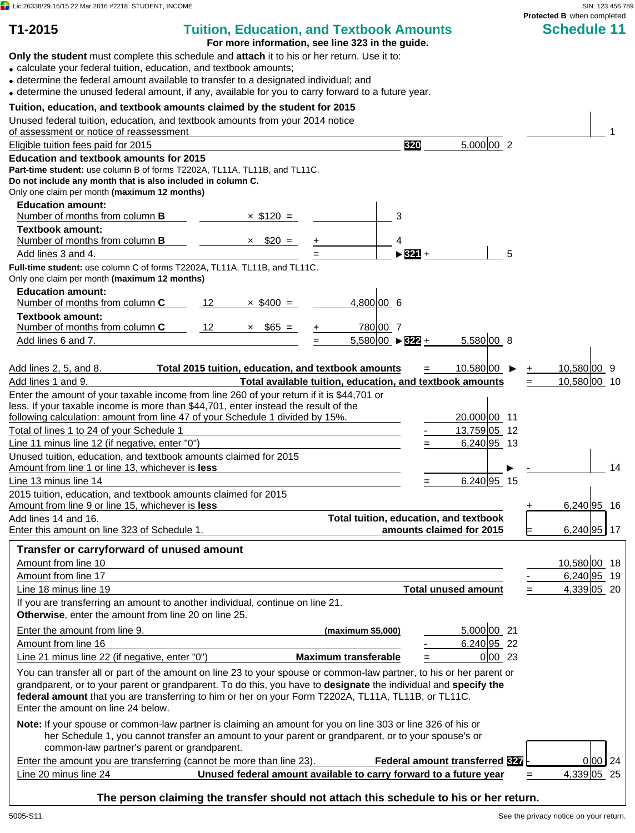$\Box$  Lic:26338/29.16/15 22 Mar 2016 #2218 STUDENT, INCOME SIN: 123 456 789

# **T1-2015 Tuition, Education, and Textbook Amounts Schedule 11**

**For more information, see line 323 in the guide.**

**Only the student** must complete this schedule and **attach** it to his or her return. Use it to:

calculate your federal tuition, education, and textbook amounts;

- determine the federal amount available to transfer to a designated individual; and
- determine the unused federal amount, if any, available for you to carry forward to a future year.

## **Tuition, education, and textbook amounts claimed by the student for 2015**

| Tuition, education, and textbook amounts claimed by the student for 2015<br>Unused federal tuition, education, and textbook amounts from your 2014 notice<br>of assessment or notice of reassessment                                                                                                                                                                                |                                                     |                                                                   |                                        |               |
|-------------------------------------------------------------------------------------------------------------------------------------------------------------------------------------------------------------------------------------------------------------------------------------------------------------------------------------------------------------------------------------|-----------------------------------------------------|-------------------------------------------------------------------|----------------------------------------|---------------|
| Eligible tuition fees paid for 2015                                                                                                                                                                                                                                                                                                                                                 |                                                     | 320                                                               | 5,000 002                              |               |
| Education and textbook amounts for 2015                                                                                                                                                                                                                                                                                                                                             |                                                     |                                                                   |                                        |               |
| Part-time student: use column B of forms T2202A, TL11A, TL11B, and TL11C.                                                                                                                                                                                                                                                                                                           |                                                     |                                                                   |                                        |               |
| Do not include any month that is also included in column C.                                                                                                                                                                                                                                                                                                                         |                                                     |                                                                   |                                        |               |
| Only one claim per month (maximum 12 months)                                                                                                                                                                                                                                                                                                                                        |                                                     |                                                                   |                                        |               |
| <b>Education amount:</b>                                                                                                                                                                                                                                                                                                                                                            |                                                     |                                                                   |                                        |               |
| Number of months from column <b>B</b>                                                                                                                                                                                                                                                                                                                                               | $\times$ \$120 =                                    | 3                                                                 |                                        |               |
| <b>Textbook amount:</b>                                                                                                                                                                                                                                                                                                                                                             |                                                     |                                                                   |                                        |               |
| Number of months from column <b>B</b>                                                                                                                                                                                                                                                                                                                                               | $\times$ \$20 =                                     | 4                                                                 |                                        |               |
| Add lines 3 and 4.                                                                                                                                                                                                                                                                                                                                                                  |                                                     | $> 321 +$                                                         | 5                                      |               |
| Full-time student: use column C of forms T2202A, TL11A, TL11B, and TL11C.<br>Only one claim per month (maximum 12 months)                                                                                                                                                                                                                                                           |                                                     |                                                                   |                                        |               |
| <b>Education amount:</b><br>Number of months from column C                                                                                                                                                                                                                                                                                                                          | 12<br>$\times$ \$400 =                              | 4,800 00 6                                                        |                                        |               |
| <b>Textbook amount:</b>                                                                                                                                                                                                                                                                                                                                                             |                                                     |                                                                   |                                        |               |
| Number of months from column C                                                                                                                                                                                                                                                                                                                                                      | 12<br>$\times$ \$65 =                               | 780 00 7                                                          |                                        |               |
| Add lines 6 and 7.                                                                                                                                                                                                                                                                                                                                                                  |                                                     | $5,580 00 \rangle$ $\triangleright$ 322 +                         | 5,580 00 8                             |               |
|                                                                                                                                                                                                                                                                                                                                                                                     |                                                     |                                                                   |                                        |               |
| Add lines 2, 5, and 8.                                                                                                                                                                                                                                                                                                                                                              | Total 2015 tuition, education, and textbook amounts |                                                                   | $10,580 00$ ▶                          | $10,580 00$ 9 |
| Add lines 1 and 9.                                                                                                                                                                                                                                                                                                                                                                  |                                                     | Total available tuition, education, and textbook amounts          |                                        | 10,580 00 10  |
| Enter the amount of your taxable income from line 260 of your return if it is \$44,701 or                                                                                                                                                                                                                                                                                           |                                                     |                                                                   |                                        |               |
| less. If your taxable income is more than \$44,701, enter instead the result of the                                                                                                                                                                                                                                                                                                 |                                                     |                                                                   |                                        |               |
| following calculation: amount from line 47 of your Schedule 1 divided by 15%.                                                                                                                                                                                                                                                                                                       |                                                     |                                                                   | 20,000 00 11                           |               |
| Total of lines 1 to 24 of your Schedule 1                                                                                                                                                                                                                                                                                                                                           |                                                     |                                                                   | $13,759$ 05 12                         |               |
| Line 11 minus line 12 (if negative, enter "0")                                                                                                                                                                                                                                                                                                                                      |                                                     |                                                                   | 6,240 95 13                            |               |
| Unused tuition, education, and textbook amounts claimed for 2015                                                                                                                                                                                                                                                                                                                    |                                                     |                                                                   |                                        |               |
| Amount from line 1 or line 13, whichever is less                                                                                                                                                                                                                                                                                                                                    |                                                     |                                                                   |                                        | 14            |
| Line 13 minus line 14                                                                                                                                                                                                                                                                                                                                                               |                                                     |                                                                   | $6,240$ 95 15                          |               |
| 2015 tuition, education, and textbook amounts claimed for 2015                                                                                                                                                                                                                                                                                                                      |                                                     |                                                                   |                                        |               |
| Amount from line 9 or line 15, whichever is less                                                                                                                                                                                                                                                                                                                                    |                                                     |                                                                   |                                        | $6,240$ 95 16 |
| Add lines 14 and 16.                                                                                                                                                                                                                                                                                                                                                                |                                                     |                                                                   | Total tuition, education, and textbook |               |
| Enter this amount on line 323 of Schedule 1.                                                                                                                                                                                                                                                                                                                                        |                                                     |                                                                   | amounts claimed for 2015               | 6,240 95 17   |
| Transfer or carryforward of unused amount                                                                                                                                                                                                                                                                                                                                           |                                                     |                                                                   |                                        |               |
| Amount from line 10                                                                                                                                                                                                                                                                                                                                                                 |                                                     |                                                                   |                                        | 10,580 00 18  |
| Amount from line 17                                                                                                                                                                                                                                                                                                                                                                 |                                                     |                                                                   |                                        | $6,240$ 95 19 |
|                                                                                                                                                                                                                                                                                                                                                                                     |                                                     |                                                                   |                                        | 4,339 05 20   |
| Line 18 minus line 19                                                                                                                                                                                                                                                                                                                                                               |                                                     |                                                                   | <b>Total unused amount</b>             |               |
| If you are transferring an amount to another individual, continue on line 21.<br><b>Otherwise, enter the amount from line 20 on line 25.</b>                                                                                                                                                                                                                                        |                                                     |                                                                   |                                        |               |
| Enter the amount from line 9.                                                                                                                                                                                                                                                                                                                                                       |                                                     | (maximum \$5,000)                                                 | 5,000 00 21                            |               |
| Amount from line 16                                                                                                                                                                                                                                                                                                                                                                 |                                                     |                                                                   | 6,240 95 22                            |               |
| Line 21 minus line 22 (if negative, enter "0")                                                                                                                                                                                                                                                                                                                                      |                                                     | <b>Maximum transferable</b>                                       | 0 00 23                                |               |
| You can transfer all or part of the amount on line 23 to your spouse or common-law partner, to his or her parent or<br>grandparent, or to your parent or grandparent. To do this, you have to designate the individual and specify the<br>federal amount that you are transferring to him or her on your Form T2202A, TL11A, TL11B, or TL11C.<br>Enter the amount on line 24 below. |                                                     |                                                                   |                                        |               |
| Note: If your spouse or common-law partner is claiming an amount for you on line 303 or line 326 of his or<br>her Schedule 1, you cannot transfer an amount to your parent or grandparent, or to your spouse's or                                                                                                                                                                   |                                                     |                                                                   |                                        |               |
| common-law partner's parent or grandparent.                                                                                                                                                                                                                                                                                                                                         |                                                     |                                                                   |                                        |               |
| Enter the amount you are transferring (cannot be more than line 23).                                                                                                                                                                                                                                                                                                                |                                                     |                                                                   | Federal amount transferred 327         | 0 00 24       |
| Line 20 minus line 24                                                                                                                                                                                                                                                                                                                                                               |                                                     | Unused federal amount available to carry forward to a future year |                                        | 4,339 05 25   |
|                                                                                                                                                                                                                                                                                                                                                                                     |                                                     |                                                                   |                                        |               |

**The person claiming the transfer should not attach this schedule to his or her return.**

**Protected B** when completed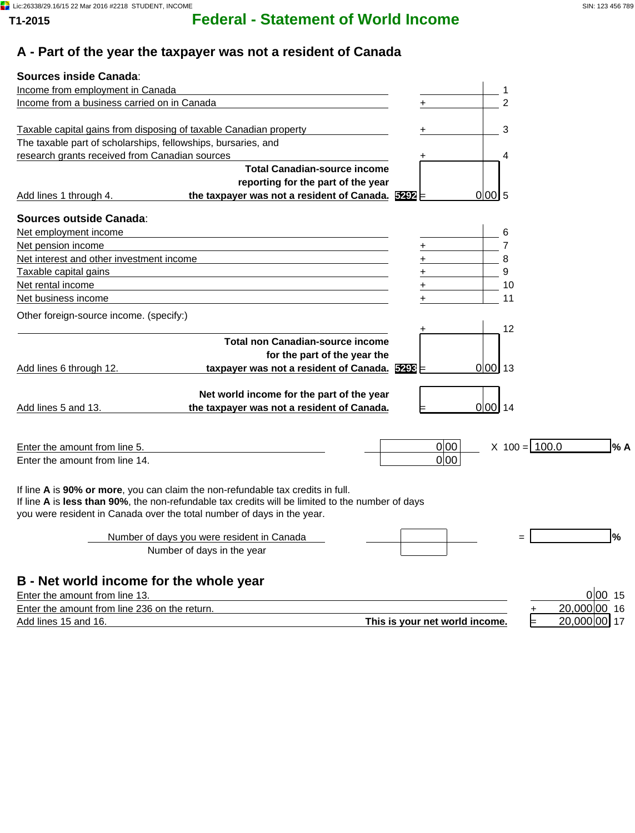# **T1-2015 Federal - Statement of World Income**

## **A - Part of the year the taxpayer was not a resident of Canada**

| <b>Sources inside Canada:</b>                                                                                  |                                                |
|----------------------------------------------------------------------------------------------------------------|------------------------------------------------|
| Income from employment in Canada                                                                               |                                                |
| Income from a business carried on in Canada                                                                    | $\mathcal{P}$                                  |
|                                                                                                                |                                                |
| Taxable capital gains from disposing of taxable Canadian property                                              | 3                                              |
| The taxable part of scholarships, fellowships, bursaries, and                                                  |                                                |
| research grants received from Canadian sources                                                                 | 4                                              |
| <b>Total Canadian-source income</b>                                                                            |                                                |
| reporting for the part of the year                                                                             |                                                |
| the taxpayer was not a resident of Canada. 5292<br>Add lines 1 through 4.                                      | 0 00 5                                         |
| Sources outside Canada:                                                                                        |                                                |
| Net employment income                                                                                          | 6                                              |
| Net pension income                                                                                             | $\overline{7}$                                 |
| Net interest and other investment income                                                                       | 8                                              |
| Taxable capital gains                                                                                          | 9                                              |
| Net rental income<br>the control of the control of the control of the control of the control of the control of | 10                                             |
| Net business income                                                                                            | 11                                             |
| Other foreign-source income. (specify:)                                                                        |                                                |
|                                                                                                                | 12                                             |
| <b>Total non Canadian-source income</b>                                                                        |                                                |
| for the part of the year the                                                                                   |                                                |
| taxpayer was not a resident of Canada. 5298<br>Add lines 6 through 12.                                         | $0 00 $ 13                                     |
|                                                                                                                |                                                |
| Net world income for the part of the year                                                                      |                                                |
| the taxpayer was not a resident of Canada.<br>Add lines 5 and 13.                                              | $0 00 $ 14                                     |
|                                                                                                                |                                                |
| Enter the amount from line 5.                                                                                  | $X$ 100 = 100.0<br>0 00<br>l% A                |
| Enter the amount from line 14.                                                                                 | 0 00                                           |
|                                                                                                                |                                                |
| If line A is 90% or more, you can claim the non-refundable tax credits in full.                                |                                                |
| If line A is less than 90%, the non-refundable tax credits will be limited to the number of days               |                                                |
| you were resident in Canada over the total number of days in the year.                                         |                                                |
|                                                                                                                |                                                |
| Number of days you were resident in Canada                                                                     | l%                                             |
| Number of days in the year                                                                                     |                                                |
|                                                                                                                |                                                |
| B - Net world income for the whole year                                                                        |                                                |
| Enter the amount from line 13.                                                                                 | 0 0015                                         |
| Enter the amount from line 236 on the return.                                                                  | 20,000 00 16                                   |
| Add lines 15 and 16.                                                                                           | 20,000 00 17<br>This is your net world income. |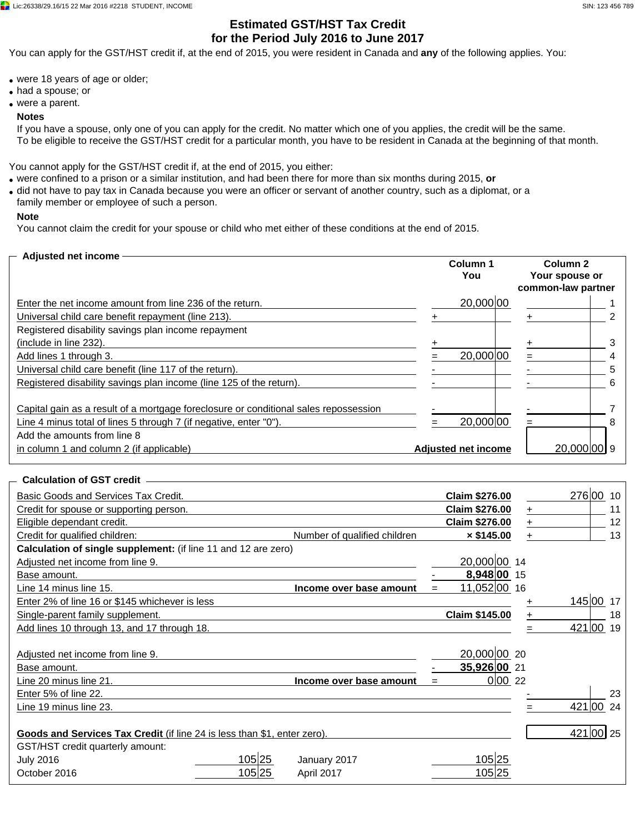## **Estimated GST/HST Tax Credit for the Period July 2016 to June 2017**

You can apply for the GST/HST credit if, at the end of 2015, you were resident in Canada and **any** of the following applies. You:

- were 18 years of age or older;
- had a spouse; or
- were a parent.

#### **Notes**

If you have a spouse, only one of you can apply for the credit. No matter which one of you applies, the credit will be the same. To be eligible to receive the GST/HST credit for a particular month, you have to be resident in Canada at the beginning of that month.

You cannot apply for the GST/HST credit if, at the end of 2015, you either:

- were confined to a prison or a similar institution, and had been there for more than six months during 2015, **or**
- did not have to pay tax in Canada because you were an officer or servant of another country, such as a diplomat, or a family member or employee of such a person.

#### **Note**

You cannot claim the credit for your spouse or child who met either of these conditions at the end of 2015.

| - Adjusted net income                                                                                                                                                                    | Column 1<br>You            | Column 2<br>Your spouse or<br>common-law partner |
|------------------------------------------------------------------------------------------------------------------------------------------------------------------------------------------|----------------------------|--------------------------------------------------|
| Enter the net income amount from line 236 of the return.                                                                                                                                 | 20,000 00                  |                                                  |
| Universal child care benefit repayment (line 213).                                                                                                                                       |                            |                                                  |
| Registered disability savings plan income repayment                                                                                                                                      |                            |                                                  |
| (include in line 232).                                                                                                                                                                   |                            | з                                                |
| Add lines 1 through 3.                                                                                                                                                                   | 20,000 00                  | 4                                                |
| Universal child care benefit (line 117 of the return).                                                                                                                                   |                            | 5                                                |
| Registered disability savings plan income (line 125 of the return).                                                                                                                      |                            | 6                                                |
| Capital gain as a result of a mortgage foreclosure or conditional sales repossession<br>Line 4 minus total of lines 5 through 7 (if negative, enter "0").<br>Add the amounts from line 8 | 20,000 00                  | 8                                                |
| in column 1 and column 2 (if applicable)                                                                                                                                                 | <b>Adjusted net income</b> | 20.000 00 9                                      |

#### **Calculation of GST credit**

| Basic Goods and Services Tax Credit.                                     |        |                              | <b>Claim \$276.00</b> |       | 276 00<br>10 |
|--------------------------------------------------------------------------|--------|------------------------------|-----------------------|-------|--------------|
| Credit for spouse or supporting person.                                  |        |                              | <b>Claim \$276.00</b> | $\pm$ | 11           |
| Eligible dependant credit.                                               |        |                              | <b>Claim \$276.00</b> |       | 12           |
| Credit for qualified children:                                           |        | Number of qualified children | $\times$ \$145.00     |       | 13           |
| Calculation of single supplement: (if line 11 and 12 are zero)           |        |                              |                       |       |              |
| Adjusted net income from line 9.                                         |        |                              | 20.000 00 14          |       |              |
| Base amount.                                                             |        |                              | 8,948 00 15           |       |              |
| Line 14 minus line 15.                                                   |        | Income over base amount      | 11,052 00 16          |       |              |
| Enter 2% of line 16 or \$145 whichever is less                           |        |                              |                       |       | 145 00<br>17 |
| Single-parent family supplement.                                         |        |                              | Claim \$145.00        |       | 18           |
| Add lines 10 through 13, and 17 through 18.                              |        |                              |                       |       | 421 00<br>19 |
|                                                                          |        |                              |                       |       |              |
| Adjusted net income from line 9.                                         |        |                              | 20,000 00 20          |       |              |
| Base amount.                                                             |        |                              | 35,926 00 21          |       |              |
| Line 20 minus line 21.                                                   |        | Income over base amount      | 0 00 22               |       |              |
| Enter 5% of line 22.                                                     |        |                              |                       |       | 23           |
| Line 19 minus line 23.                                                   |        |                              |                       |       | 421 00<br>24 |
|                                                                          |        |                              |                       |       |              |
| Goods and Services Tax Credit (if line 24 is less than \$1, enter zero). |        |                              |                       |       | 421 00 25    |
| GST/HST credit quarterly amount:                                         |        |                              |                       |       |              |
| <b>July 2016</b>                                                         | 105 25 | January 2017                 | 105 25                |       |              |
| October 2016                                                             | 105 25 | April 2017                   | 105 25                |       |              |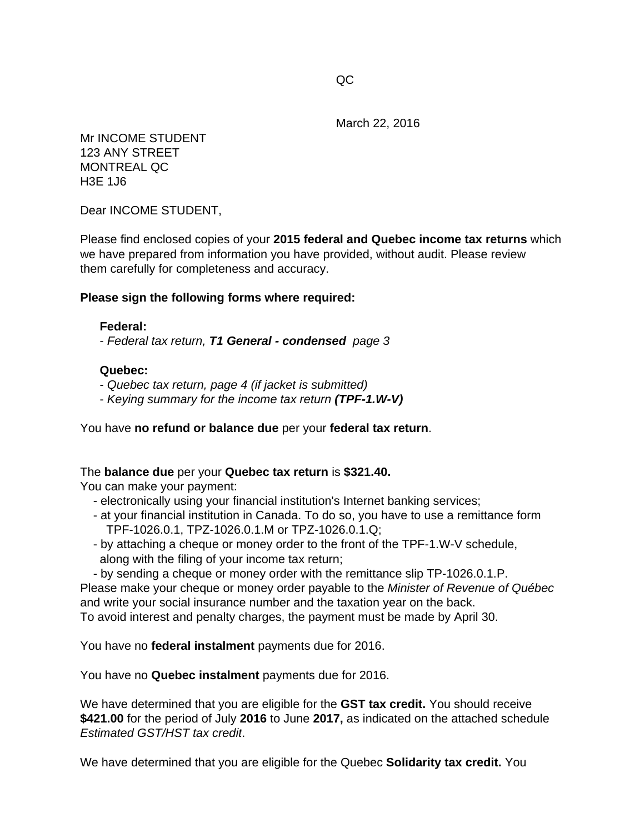March 22, 2016

Mr INCOME STUDENT 123 ANY STREET MONTREAL QC H3E 1J6

Dear INCOME STUDENT,

Please find enclosed copies of your **2015 federal and Quebec income tax returns** which we have prepared from information you have provided, without audit. Please review them carefully for completeness and accuracy.

## **Please sign the following forms where required:**

## **Federal:**

- *Federal tax return, T1 General - condensed page 3*

## **Quebec:**

- *Quebec tax return, page 4 (if jacket is submitted)*
- *Keying summary for the income tax return (TPF-1.W-V)*

You have **no refund or balance due** per your **federal tax return**.

## The **balance due** per your **Quebec tax return** is **\$321.40.**

You can make your payment:

- electronically using your financial institution's Internet banking services;
- at your financial institution in Canada. To do so, you have to use a remittance form TPF-1026.0.1, TPZ-1026.0.1.M or TPZ-1026.0.1.Q;
- by attaching a cheque or money order to the front of the TPF-1.W-V schedule, along with the filing of your income tax return;
- by sending a cheque or money order with the remittance slip TP-1026.0.1.P.

Please make your cheque or money order payable to the *Minister of Revenue of Québec* and write your social insurance number and the taxation year on the back. To avoid interest and penalty charges, the payment must be made by April 30.

You have no **federal instalment** payments due for 2016.

You have no **Quebec instalment** payments due for 2016.

We have determined that you are eligible for the **GST tax credit.** You should receive **\$421.00** for the period of July **2016** to June **2017,** as indicated on the attached schedule *Estimated GST/HST tax credit*.

We have determined that you are eligible for the Quebec **Solidarity tax credit.** You